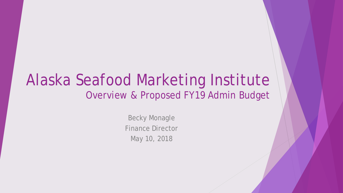#### Alaska Seafood Marketing Institute Overview & Proposed FY19 Admin Budget

Becky Monagle Finance Director May 10, 2018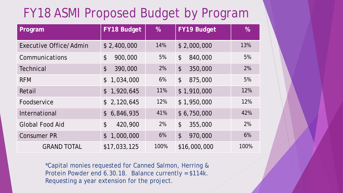#### FY18 ASMI Proposed Budget by Program

| Program                       | <b>FY18 Budget</b>                    | $\%$ | <b>FY19 Budget</b>                   | $\%$ |
|-------------------------------|---------------------------------------|------|--------------------------------------|------|
| <b>Executive Office/Admin</b> | \$2,400,000                           | 14%  | \$2,000,000                          | 13%  |
| Communications                | $\boldsymbol{\mathsf{\$}}$<br>900,000 | 5%   | $\boldsymbol{\mathsf{S}}$<br>840,000 | 5%   |
| <b>Technical</b>              | $\boldsymbol{\mathsf{S}}$<br>390,000  | 2%   | $\boldsymbol{\mathsf{S}}$<br>350,000 | 2%   |
| <b>RFM</b>                    | 1,034,000<br>$\mathcal{L}$            | 6%   | $\boldsymbol{\mathsf{S}}$<br>875,000 | 5%   |
| Retail                        | 1,920,645<br>$\mathcal{L}$            | 11%  | \$1,910,000                          | 12%  |
| Foodservice                   | \$2,120,645                           | 12%  | \$1,950,000                          | 12%  |
| International                 | 6,846,935<br>$\mathcal{L}$            | 41%  | \$6,750,000                          | 42%  |
| <b>Global Food Aid</b>        | $\boldsymbol{\mathsf{S}}$<br>420,900  | 2%   | $\boldsymbol{\mathsf{S}}$<br>355,000 | 2%   |
| <b>Consumer PR</b>            | 1,000,000<br>$\mathcal{L}$            | 6%   | $\boldsymbol{\mathsf{S}}$<br>970,000 | 6%   |
| <b>GRAND TOTAL</b>            | \$17,033,125                          | 100% | \$16,000,000                         | 100% |

\*Capital monies requested for Canned Salmon, Herring & Protein Powder end 6.30.18. Balance currently = \$114k. Requesting a year extension for the project.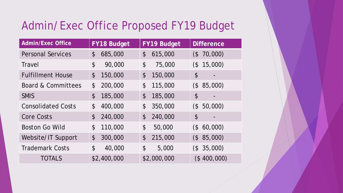#### Admin/Exec Office Proposed FY19 Budget

| <b>Admin/Exec Office</b>  | <b>FY18 Budget</b>                    | FY19 Budget                           | <b>Difference</b>              |
|---------------------------|---------------------------------------|---------------------------------------|--------------------------------|
| <b>Personal Services</b>  | $\boldsymbol{\mathsf{S}}$<br>685,000  | $\boldsymbol{\mathcal{L}}$<br>615,000 | 70,000)<br>$($ \$              |
| Travel                    | $\boldsymbol{\mathsf{\$}}$<br>90,000  | $\boldsymbol{\mathsf{\$}}$<br>75,000  | (\$15,000)                     |
| <b>Fulfillment House</b>  | $\boldsymbol{\mathsf{S}}$<br>150,000  | $\boldsymbol{\mathsf{S}}$<br>150,000  | $\boldsymbol{\mathsf{\$}}$     |
| Board & Committees        | \$<br>200,000                         | $\boldsymbol{\mathsf{\$}}$<br>115,000 | (\$ 85,000)                    |
| <b>SMIS</b>               | $\boldsymbol{\mathsf{S}}$<br>185,000  | $\boldsymbol{\mathsf{S}}$<br>185,000  | $\boldsymbol{\mathsf{S}}$<br>- |
| <b>Consolidated Costs</b> | $\boldsymbol{\mathsf{S}}$<br>400,000  | $\boldsymbol{\mathsf{S}}$<br>350,000  | $($ \$<br>50,000)              |
| <b>Core Costs</b>         | $\boldsymbol{\mathcal{L}}$<br>240,000 | $\boldsymbol{\mathsf{\$}}$<br>240,000 | \$                             |
| <b>Boston Go Wild</b>     | $\boldsymbol{\mathsf{S}}$<br>110,000  | $\boldsymbol{\mathsf{S}}$<br>50,000   | (\$60,000)                     |
| Website/IT Support        | $\boldsymbol{\mathsf{S}}$<br>300,000  | $\boldsymbol{\mathsf{S}}$<br>215,000  | 85,000)<br>$($ \$              |
| <b>Trademark Costs</b>    | $\boldsymbol{\mathsf{S}}$<br>40,000   | \$<br>5,000                           | (\$35,000)                     |
| <b>TOTALS</b>             | \$2,400,000                           | \$2,000,000                           | (\$400,000)                    |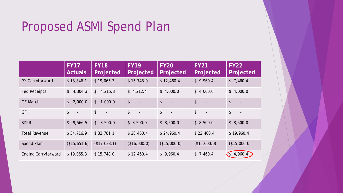### Proposed ASMI Spend Plan

|                            | <b>FY17</b><br><b>Actuals</b>  | <b>FY18</b><br>Projected        | <b>FY19</b><br>Projected                               | FY <sub>20</sub><br>Projected                | <b>FY21</b><br>Projected                  | <b>FY22</b><br>Projected               |
|----------------------------|--------------------------------|---------------------------------|--------------------------------------------------------|----------------------------------------------|-------------------------------------------|----------------------------------------|
| PY Carryforward            | \$18,846.1                     | \$19,065.3                      | \$15,748.0                                             | \$12,460.4                                   | \$9,960.4                                 | \$7,460.4                              |
| <b>Fed Receipts</b>        | $\frac{1}{2}$<br>4,304.3       | \$4,215.8                       | \$4,212.4                                              | \$4,000.0                                    | \$4,000.0                                 | \$4,000.0                              |
| <b>GF Match</b>            | 2,000.0<br>$\frac{1}{2}$       | \$1,000.0                       | $\boldsymbol{\mathsf{\$}}$<br>$\overline{\phantom{a}}$ | $$\mathfrak{s}$$<br>$\overline{\phantom{a}}$ | $\sqrt[6]{}$<br>$\blacksquare$            | \$<br>$\blacksquare$                   |
| GF                         | \$<br>$\overline{\phantom{a}}$ | $\frac{1}{2}$<br>$\blacksquare$ | \$<br>$\overline{\phantom{a}}$                         | \$<br>$\overline{\phantom{a}}$               | $\frac{1}{2}$<br>$\overline{\phantom{a}}$ | \$<br>$\overline{\phantom{a}}$         |
| <b>SDPR</b>                | $\frac{1}{2}$<br>9,566.5       | \$8,500.0                       | \$8,500.0                                              | \$8,500.0                                    | \$8,500.0                                 | \$8,500.0                              |
| <b>Total Revenue</b>       | \$34,716.9                     | \$32,781.1                      | \$28,460.4                                             | \$24,960.4                                   | \$22,460.4                                | \$19,960.4                             |
| Spend Plan                 | (\$15,651.6)                   | (\$17,033.1)                    | (\$16,000.0)                                           | (\$15,000.0)                                 | (\$15,000.0)                              | (\$15,000.0)                           |
| <b>Ending Carryforward</b> | \$19,065.3                     | \$15,748.0                      | \$12,460.4                                             | \$9,960.4                                    | \$7,460.4                                 | 4,960.4<br>$\mathcal{C}_{\mathcal{S}}$ |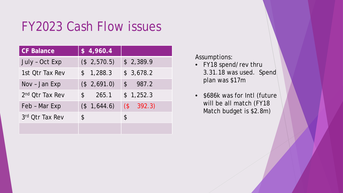#### FY2023 Cash Flow issues

| <b>CF Balance</b>           | \$4,960.4             |              |
|-----------------------------|-----------------------|--------------|
| July - Oct Exp              | (\$2,570.5)           | \$2,389.9    |
| 1st Otr Tax Rev             | \$1,288.3             | \$3,678.2    |
| Nov - Jan Exp               | (\$2,691.0)           | \$987.2      |
| 2 <sup>nd</sup> Otr Tax Rev | 265.1<br>$\mathbb{S}$ | \$1,252.3    |
| Feb - Mar Exp               | $($ \$ 1,644.6)       | $(\$ 392.3)$ |
| 3rd Otr Tax Rev             | \$                    | \$           |
|                             |                       |              |

Assumptions:

- FY18 spend/rev thru 3.31.18 was used. Spend plan was \$17m
- \$686k was for Intl (future will be all match (FY18 Match budget is \$2.8m)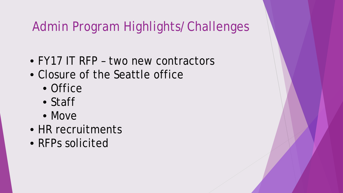### Admin Program Highlights/Challenges

- FY17 IT RFP two new contractors
- Closure of the Seattle office
	- Office
	- Staff
	- Move
- HR recruitments
- RFPs solicited